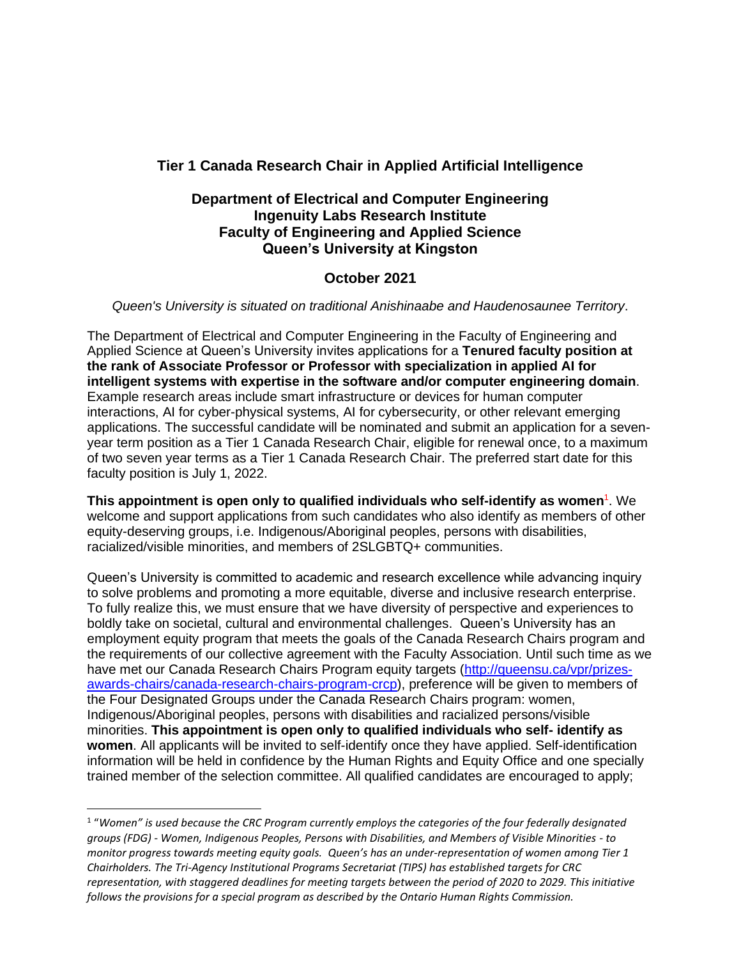# **Tier 1 Canada Research Chair in Applied Artificial Intelligence**

## **Department of Electrical and Computer Engineering Ingenuity Labs Research Institute Faculty of Engineering and Applied Science Queen's University at Kingston**

## **October 2021**

#### *Queen's University is situated on traditional Anishinaabe and Haudenosaunee Territory*.

The Department of Electrical and Computer Engineering in the Faculty of Engineering and Applied Science at Queen's University invites applications for a **Tenured faculty position at the rank of Associate Professor or Professor with specialization in applied AI for intelligent systems with expertise in the software and/or computer engineering domain**. Example research areas include smart infrastructure or devices for human computer interactions, AI for cyber-physical systems, AI for cybersecurity, or other relevant emerging applications. The successful candidate will be nominated and submit an application for a sevenyear term position as a Tier 1 Canada Research Chair, eligible for renewal once, to a maximum of two seven year terms as a Tier 1 Canada Research Chair. The preferred start date for this faculty position is July 1, 2022.

**This appointment is open only to qualified individuals who self-identify as women<sup>1</sup>. We** welcome and support applications from such candidates who also identify as members of other equity-deserving groups, i.e. Indigenous/Aboriginal peoples, persons with disabilities, racialized/visible minorities, and members of 2SLGBTQ+ communities.

Queen's University is committed to academic and research excellence while advancing inquiry to solve problems and promoting a more equitable, diverse and inclusive research enterprise. To fully realize this, we must ensure that we have diversity of perspective and experiences to boldly take on societal, cultural and environmental challenges. Queen's University has an employment equity program that meets the goals of the Canada Research Chairs program and the requirements of our collective agreement with the Faculty Association. Until such time as we have met our Canada Research Chairs Program equity targets [\(http://queensu.ca/vpr/prizes](http://queensu.ca/vpr/prizes-awards-chairs/canada-research-chairs-program-crcp)[awards-chairs/canada-research-chairs-program-crcp\)](http://queensu.ca/vpr/prizes-awards-chairs/canada-research-chairs-program-crcp), preference will be given to members of the Four Designated Groups under the Canada Research Chairs program: women, Indigenous/Aboriginal peoples, persons with disabilities and racialized persons/visible minorities. **This appointment is open only to qualified individuals who self- identify as women**. All applicants will be invited to self-identify once they have applied. Self-identification information will be held in confidence by the Human Rights and Equity Office and one specially trained member of the selection committee. All qualified candidates are encouraged to apply;

 $^{\rm 1}$  "Women" is used because the CRC Program currently employs the categories of the four federally designated *groups (FDG) - Women, Indigenous Peoples, Persons with Disabilities, and Members of Visible Minorities - to monitor progress towards meeting equity goals. Queen's has an under-representation of women among Tier 1 Chairholders. The Tri-Agency Institutional Programs Secretariat (TIPS) has established targets for CRC representation, with staggered deadlines for meeting targets between the period of 2020 to 2029. This initiative follows the provisions for a special program as described by the Ontario Human Rights Commission.*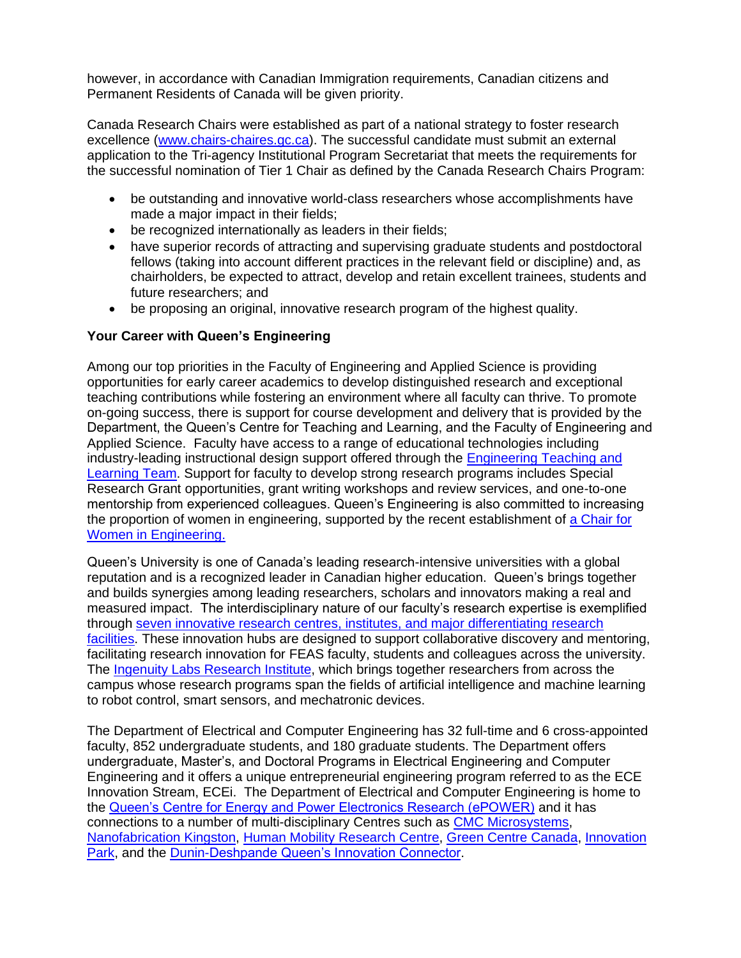however, in accordance with Canadian Immigration requirements, Canadian citizens and Permanent Residents of Canada will be given priority.

Canada Research Chairs were established as part of a national strategy to foster research excellence [\(www.chairs-chaires.gc.ca\)](http://www.chairs-chaires.gc.ca/). The successful candidate must submit an external application to the Tri-agency Institutional Program Secretariat that meets the requirements for the successful nomination of Tier 1 Chair as defined by the Canada Research Chairs Program:

- be outstanding and innovative world-class researchers whose accomplishments have made a major impact in their fields;
- be recognized internationally as leaders in their fields;
- have superior records of attracting and supervising graduate students and postdoctoral fellows (taking into account different practices in the relevant field or discipline) and, as chairholders, be expected to attract, develop and retain excellent trainees, students and future researchers; and
- be proposing an original, innovative research program of the highest quality.

### **Your Career with Queen's Engineering**

Among our top priorities in the Faculty of Engineering and Applied Science is providing opportunities for early career academics to develop distinguished research and exceptional teaching contributions while fostering an environment where all faculty can thrive. To promote on-going success, there is support for course development and delivery that is provided by the Department, the Queen's Centre for Teaching and Learning, and the Faculty of Engineering and Applied Science. Faculty have access to a range of educational technologies including industry-leading instructional design support offered through the **Engineering Teaching and** [Learning Team.](https://engineering.queensu.ca/About/teaching-and-learning/team.html) Support for faculty to develop strong research programs includes Special Research Grant opportunities, grant writing workshops and review services, and one-to-one mentorship from experienced colleagues. Queen's Engineering is also committed to increasing the proportion of women in engineering, supported by the recent establishment of [a Chair for](https://engineering.queensu.ca/women-in-engineering/)  [Women in Engineering.](https://engineering.queensu.ca/women-in-engineering/)

Queen's University is one of Canada's leading research-intensive universities with a global reputation and is a recognized leader in Canadian higher education. Queen's brings together and builds synergies among leading researchers, scholars and innovators making a real and measured impact. The interdisciplinary nature of our faculty's research expertise is exemplified through [seven innovative research centres, institutes, and major differentiating research](https://engineering.queensu.ca/research/research-centres.html)  [facilities.](https://engineering.queensu.ca/research/research-centres.html) These innovation hubs are designed to support collaborative discovery and mentoring. facilitating research innovation for FEAS faculty, students and colleagues across the university. The [Ingenuity Labs Research Institute,](https://ingenuitylabs.queensu.ca/) which brings together researchers from across the campus whose research programs span the fields of artificial intelligence and machine learning to robot control, smart sensors, and mechatronic devices.

The Department of Electrical and Computer Engineering has 32 full-time and 6 cross-appointed faculty, 852 undergraduate students, and 180 graduate students. The Department offers undergraduate, Master's, and Doctoral Programs in Electrical Engineering and Computer Engineering and it offers a unique entrepreneurial engineering program referred to as the ECE Innovation Stream, ECEi. The Department of Electrical and Computer Engineering is home to the [Queen's Centre for Energy and Power Electronics Research \(ePOWER\)](http://www.queensu.ca/epower/) and it has connections to a number of multi-disciplinary Centres such as [CMC Microsystems,](http://www.cmc.ca/) [Nanofabrication Kingston,](http://nanofabkingston.ca/) [Human Mobility Research Centre,](http://www.hmrc.ca/) [Green Centre Canada,](http://www.greencentrecanada.com/) [Innovation](http://www.innovationpark.ca/)  [Park,](http://www.innovationpark.ca/) and the [Dunin-Deshpande Queen's Innovation Connector.](http://www.queensu.ca/innovationcentre/)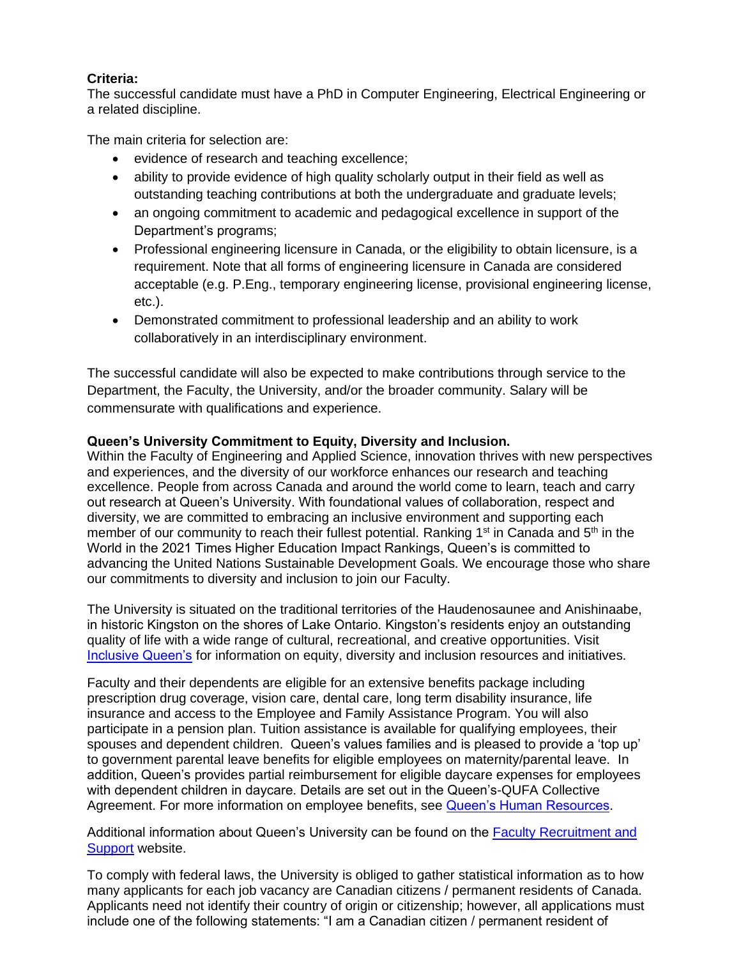## **Criteria:**

The successful candidate must have a PhD in Computer Engineering, Electrical Engineering or a related discipline.

The main criteria for selection are:

- evidence of research and teaching excellence;
- ability to provide evidence of high quality scholarly output in their field as well as outstanding teaching contributions at both the undergraduate and graduate levels;
- an ongoing commitment to academic and pedagogical excellence in support of the Department's programs;
- Professional engineering licensure in Canada, or the eligibility to obtain licensure, is a requirement. Note that all forms of engineering licensure in Canada are considered acceptable (e.g. P.Eng., temporary engineering license, provisional engineering license, etc.).
- Demonstrated commitment to professional leadership and an ability to work collaboratively in an interdisciplinary environment.

The successful candidate will also be expected to make contributions through service to the Department, the Faculty, the University, and/or the broader community. Salary will be commensurate with qualifications and experience.

## **Queen's University Commitment to Equity, Diversity and Inclusion.**

Within the Faculty of Engineering and Applied Science, innovation thrives with new perspectives and experiences, and the diversity of our workforce enhances our research and teaching excellence. People from across Canada and around the world come to learn, teach and carry out research at Queen's University. With foundational values of collaboration, respect and diversity, we are committed to embracing an inclusive environment and supporting each member of our community to reach their fullest potential. Ranking 1<sup>st</sup> in Canada and 5<sup>th</sup> in the World in the 2021 Times Higher Education Impact Rankings, Queen's is committed to advancing the United Nations Sustainable Development Goals. We encourage those who share our commitments to diversity and inclusion to join our Faculty.

The University is situated on the traditional territories of the Haudenosaunee and Anishinaabe, in historic Kingston on the shores of Lake Ontario. Kingston's residents enjoy an outstanding quality of life with a wide range of cultural, recreational, and creative opportunities. Visit [Inclusive Queen's](https://www.queensu.ca/inclusive/content/home) for information on equity, diversity and inclusion resources and initiatives.

Faculty and their dependents are eligible for an extensive benefits package including prescription drug coverage, vision care, dental care, long term disability insurance, life insurance and access to the Employee and Family Assistance Program. You will also participate in a pension plan. Tuition assistance is available for qualifying employees, their spouses and dependent children. Queen's values families and is pleased to provide a 'top up' to government parental leave benefits for eligible employees on maternity/parental leave. In addition, Queen's provides partial reimbursement for eligible daycare expenses for employees with dependent children in daycare. Details are set out in the Queen's-QUFA Collective Agreement. For more information on employee benefits, see [Queen's Human Resources.](http://www.queensu.ca/humanresources/)

Additional information about Queen's University can be found on the [Faculty Recruitment and](http://www.queensu.ca/facultyrecruitment)  [Support](http://www.queensu.ca/facultyrecruitment) website.

To comply with federal laws, the University is obliged to gather statistical information as to how many applicants for each job vacancy are Canadian citizens / permanent residents of Canada. Applicants need not identify their country of origin or citizenship; however, all applications must include one of the following statements: "I am a Canadian citizen / permanent resident of